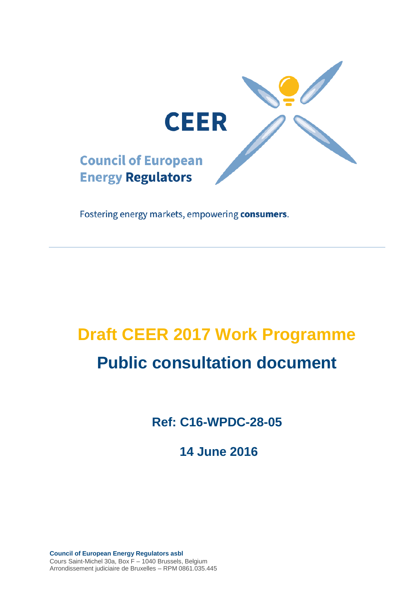

Fostering energy markets, empowering consumers.

# **Draft CEER 2017 Work Programme Public consultation document**

**Ref: C16-WPDC-28-05**

**14 June 2016**

**Council of European Energy Regulators asbl** Cours Saint-Michel 30a, Box F – 1040 Brussels, Belgium Arrondissement judiciaire de Bruxelles – RPM 0861.035.445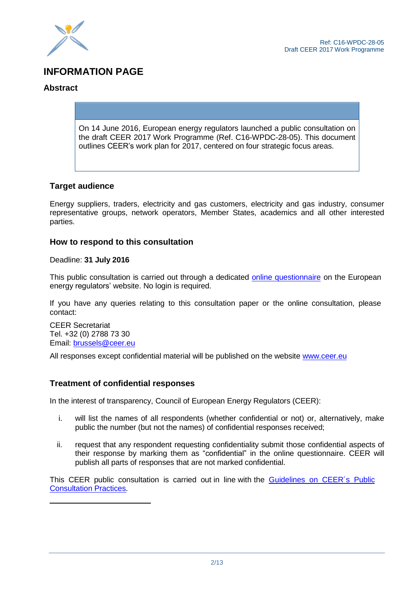

# **INFORMATION PAGE**

#### **Abstract**

On 14 June 2016, European energy regulators launched a public consultation on the draft CEER 2017 Work Programme (Ref. C16-WPDC-28-05). This document outlines CEER's work plan for 2017, centered on four strategic focus areas.

#### **Target audience**

Energy suppliers, traders, electricity and gas customers, electricity and gas industry, consumer representative groups, network operators, Member States, academics and all other interested parties.

#### **How to respond to this consultation**

Deadline: **31 July 2016**

This public consultation is carried out through a dedicated online [questionnaire](http://www.ceer.eu/portal/page/portal/EER_HOME/EER_CONSULT/OPEN_PUBLIC_CONSULTATIONS/2017_Work_Programme/OQ) on the European energy regulators' website. No login is required.

If you have any queries relating to this consultation paper or the online consultation, please contact:

CEER Secretariat Tel. +32 (0) 2788 73 30 Email: [brussels@ceer.eu](mailto:brussels@ceer.eu)

All responses except confidential material will be published on the website [www.ceer.eu](http://www.ceer.eu/)

#### **Treatment of confidential responses**

In the interest of transparency, Council of European Energy Regulators (CEER):

- i. will list the names of all respondents (whether confidential or not) or, alternatively, make public the number (but not the names) of confidential responses received;
- ii. request that any respondent requesting confidentiality submit those confidential aspects of their response by marking them as "confidential" in the online questionnaire. CEER will publish all parts of responses that are not marked confidential.

This CEER public consultation is carried out in line with the [Guidelines](http://www.ceer.eu/portal/page/portal/EER_HOME/EER_CONSULT/C07-EP-16-03_PC-Guidelines_Rev_Dec2013.pdf) on CEER's Public [Consultation Practices.](http://www.ceer.eu/portal/page/portal/EER_HOME/EER_CONSULT/C07-EP-16-03_PC-Guidelines_Rev_Dec2013.pdf)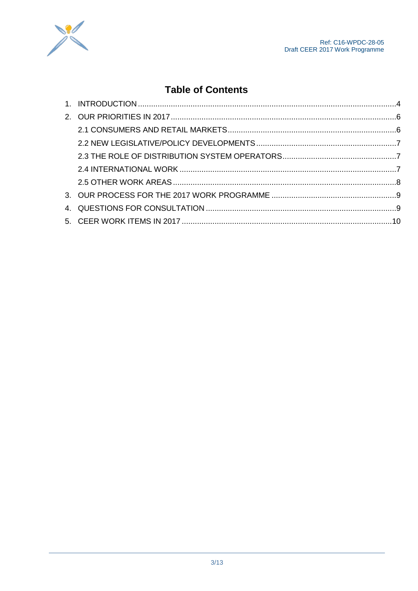



# **Table of Contents**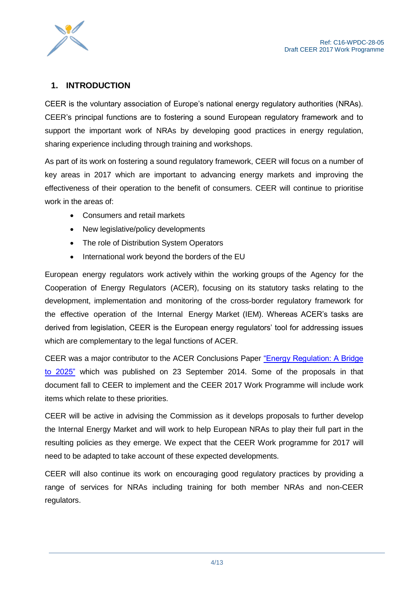

### <span id="page-3-0"></span>**1. INTRODUCTION**

CEER is the voluntary association of Europe's national energy regulatory authorities (NRAs). CEER's principal functions are to fostering a sound European regulatory framework and to support the important work of NRAs by developing good practices in energy regulation, sharing experience including through training and workshops.

As part of its work on fostering a sound regulatory framework, CEER will focus on a number of key areas in 2017 which are important to advancing energy markets and improving the effectiveness of their operation to the benefit of consumers. CEER will continue to prioritise work in the areas of:

- Consumers and retail markets
- New legislative/policy developments
- The role of Distribution System Operators
- International work beyond the borders of the EU

European energy regulators work actively within the working groups of the Agency for the Cooperation of Energy Regulators (ACER), focusing on its statutory tasks relating to the development, implementation and monitoring of the cross-border regulatory framework for the effective operation of the Internal Energy Market (IEM). Whereas ACER's tasks are derived from legislation, CEER is the European energy regulators' tool for addressing issues which are complementary to the legal functions of ACER.

CEER was a major contributor to the ACER Conclusions Paper ["Energy Regulation: A Bridge](http://www.acer.europa.eu/Official_documents/Acts_of_the_Agency/SD052005/Supporting%20document%20to%20ACER%20Recommendation%2005-2014%20-%20%20Energy%20Regulation%20A%20Bridge%20to%202025%20Conclusions%20Paper.pdf) [to 2025"](http://www.acer.europa.eu/Official_documents/Acts_of_the_Agency/SD052005/Supporting%20document%20to%20ACER%20Recommendation%2005-2014%20-%20%20Energy%20Regulation%20A%20Bridge%20to%202025%20Conclusions%20Paper.pdf) which was published on 23 September 2014. Some of the proposals in that document fall to CEER to implement and the CEER 2017 Work Programme will include work items which relate to these priorities.

CEER will be active in advising the Commission as it develops proposals to further develop the Internal Energy Market and will work to help European NRAs to play their full part in the resulting policies as they emerge. We expect that the CEER Work programme for 2017 will need to be adapted to take account of these expected developments.

CEER will also continue its work on encouraging good regulatory practices by providing a range of services for NRAs including training for both member NRAs and non-CEER regulators.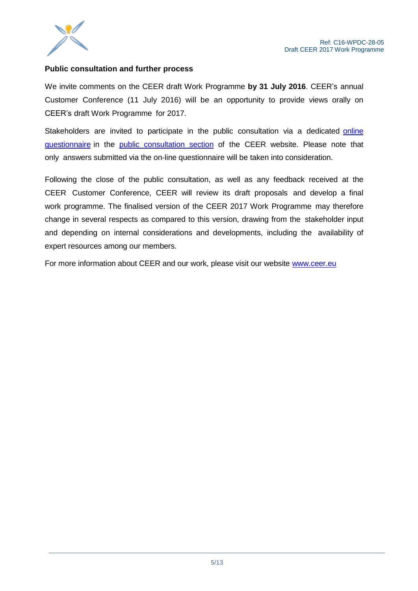

#### **Public consultation and further process**

We invite comments on the CEER draft Work Programme **by 31 July 2016**. CEER's annual Customer Conference (11 July 2016) will be an opportunity to provide views orally on CEER's draft Work Programme for 2017.

Stakeholders are invited to participate in the public consultation via a dedicated online [questionnaire](http://www.ceer.eu/portal/page/portal/EER_HOME/EER_CONSULT/OPEN_PUBLIC_CONSULTATIONS/2017_Work_Programme/OQ) in the public [consultation](http://www.ceer.eu/portal/page/portal/EER_HOME/EER_CONSULT/OPEN_PUBLIC_CONSULTATIONS) section of the CEER website. Please note that only answers submitted via the on-line questionnaire will be taken into consideration.

Following the close of the public consultation, as well as any feedback received at the CEER Customer Conference, CEER will review its draft proposals and develop a final work programme. The finalised version of the CEER 2017 Work Programme may therefore change in several respects as compared to this version, drawing from the stakeholder input and depending on internal considerations and developments, including the availability of expert resources among our members.

For more information about CEER and our work, please visit our website www.ceer.eu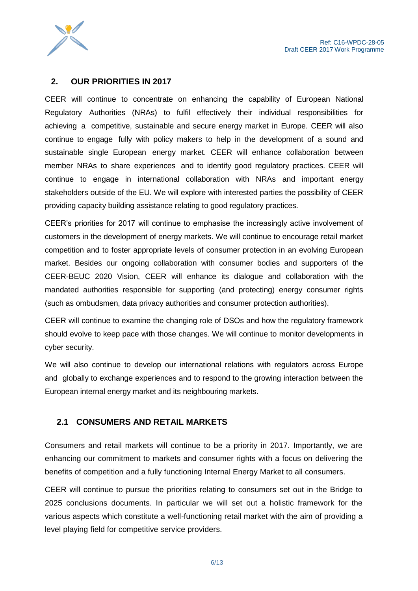

#### <span id="page-5-0"></span>**2. OUR PRIORITIES IN 2017**

CEER will continue to concentrate on enhancing the capability of European National Regulatory Authorities (NRAs) to fulfil effectively their individual responsibilities for achieving a competitive, sustainable and secure energy market in Europe. CEER will also continue to engage fully with policy makers to help in the development of a sound and sustainable single European energy market. CEER will enhance collaboration between member NRAs to share experiences and to identify good regulatory practices. CEER will continue to engage in international collaboration with NRAs and important energy stakeholders outside of the EU. We will explore with interested parties the possibility of CEER providing capacity building assistance relating to good regulatory practices.

CEER's priorities for 2017 will continue to emphasise the increasingly active involvement of customers in the development of energy markets. We will continue to encourage retail market competition and to foster appropriate levels of consumer protection in an evolving European market. Besides our ongoing collaboration with consumer bodies and supporters of the CEER-BEUC 2020 Vision, CEER will enhance its dialogue and collaboration with the mandated authorities responsible for supporting (and protecting) energy consumer rights (such as ombudsmen, data privacy authorities and consumer protection authorities).

CEER will continue to examine the changing role of DSOs and how the regulatory framework should evolve to keep pace with those changes. We will continue to monitor developments in cyber security.

We will also continue to develop our international relations with regulators across Europe and globally to exchange experiences and to respond to the growing interaction between the European internal energy market and its neighbouring markets.

#### <span id="page-5-1"></span>**2.1 CONSUMERS AND RETAIL MARKETS**

Consumers and retail markets will continue to be a priority in 2017. Importantly, we are enhancing our commitment to markets and consumer rights with a focus on delivering the benefits of competition and a fully functioning Internal Energy Market to all consumers.

CEER will continue to pursue the priorities relating to consumers set out in the Bridge to 2025 conclusions documents. In particular we will set out a holistic framework for the various aspects which constitute a well-functioning retail market with the aim of providing a level playing field for competitive service providers.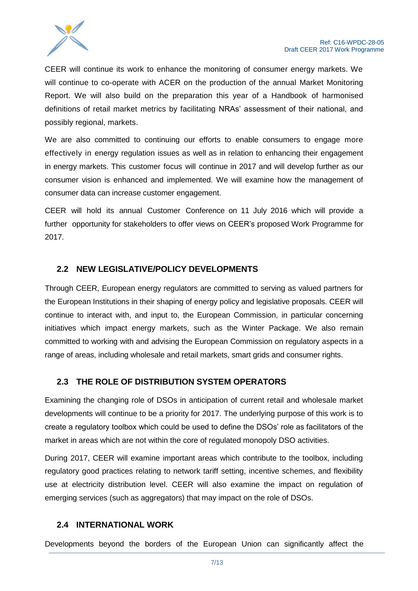

CEER will continue its work to enhance the monitoring of consumer energy markets. We will continue to co-operate with ACER on the production of the annual Market Monitoring Report. We will also build on the preparation this year of a Handbook of harmonised definitions of retail market metrics by facilitating NRAs' assessment of their national, and possibly regional, markets.

We are also committed to continuing our efforts to enable consumers to engage more effectively in energy regulation issues as well as in relation to enhancing their engagement in energy markets. This customer focus will continue in 2017 and will develop further as our consumer vision is enhanced and implemented. We will examine how the management of consumer data can increase customer engagement.

CEER will hold its annual Customer Conference on 11 July 2016 which will provide a further opportunity for stakeholders to offer views on CEER's proposed Work Programme for 2017.

#### <span id="page-6-0"></span>**2.2 NEW LEGISLATIVE/POLICY DEVELOPMENTS**

Through CEER, European energy regulators are committed to serving as valued partners for the European Institutions in their shaping of energy policy and legislative proposals. CEER will continue to interact with, and input to, the European Commission, in particular concerning initiatives which impact energy markets, such as the Winter Package. We also remain committed to working with and advising the European Commission on regulatory aspects in a range of areas, including wholesale and retail markets, smart grids and consumer rights.

#### <span id="page-6-1"></span>**2.3 THE ROLE OF DISTRIBUTION SYSTEM OPERATORS**

Examining the changing role of DSOs in anticipation of current retail and wholesale market developments will continue to be a priority for 2017. The underlying purpose of this work is to create a regulatory toolbox which could be used to define the DSOs' role as facilitators of the market in areas which are not within the core of regulated monopoly DSO activities.

During 2017, CEER will examine important areas which contribute to the toolbox, including regulatory good practices relating to network tariff setting, incentive schemes, and flexibility use at electricity distribution level. CEER will also examine the impact on regulation of emerging services (such as aggregators) that may impact on the role of DSOs.

#### <span id="page-6-2"></span>**2.4 INTERNATIONAL WORK**

Developments beyond the borders of the European Union can significantly affect the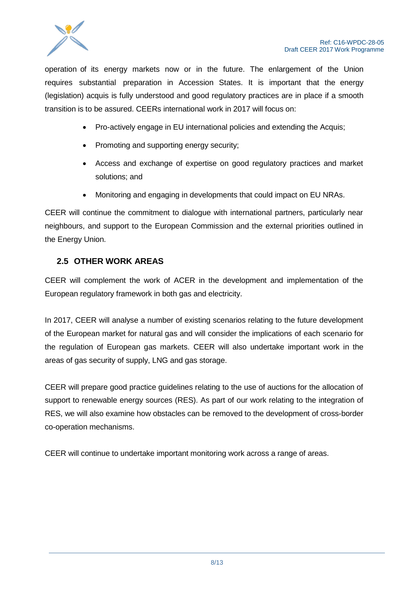

operation of its energy markets now or in the future. The enlargement of the Union requires substantial preparation in Accession States. It is important that the energy (legislation) acquis is fully understood and good regulatory practices are in place if a smooth transition is to be assured. CEERs international work in 2017 will focus on:

- Pro-actively engage in EU international policies and extending the Acquis;
- Promoting and supporting energy security;
- Access and exchange of expertise on good regulatory practices and market solutions; and
- Monitoring and engaging in developments that could impact on EU NRAs.

CEER will continue the commitment to dialogue with international partners, particularly near neighbours, and support to the European Commission and the external priorities outlined in the Energy Union.

#### <span id="page-7-0"></span>**2.5 OTHER WORK AREAS**

CEER will complement the work of ACER in the development and implementation of the European regulatory framework in both gas and electricity.

In 2017, CEER will analyse a number of existing scenarios relating to the future development of the European market for natural gas and will consider the implications of each scenario for the regulation of European gas markets. CEER will also undertake important work in the areas of gas security of supply, LNG and gas storage.

CEER will prepare good practice guidelines relating to the use of auctions for the allocation of support to renewable energy sources (RES). As part of our work relating to the integration of RES, we will also examine how obstacles can be removed to the development of cross-border co-operation mechanisms.

CEER will continue to undertake important monitoring work across a range of areas.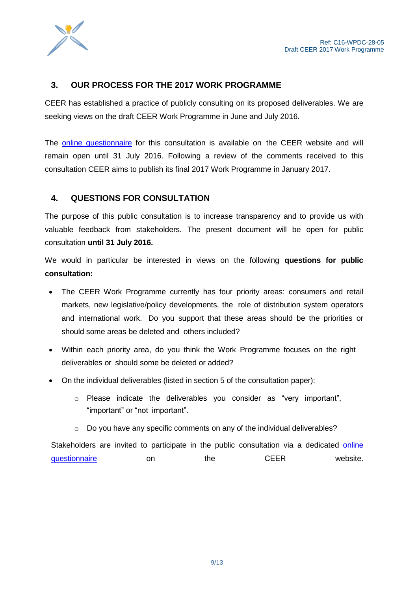

#### <span id="page-8-0"></span>**3. OUR PROCESS FOR THE 2017 WORK PROGRAMME**

CEER has established a practice of publicly consulting on its proposed deliverables. We are seeking views on the draft CEER Work Programme in June and July 2016.

The [online questionnaire](http://www.ceer.eu/portal/page/portal/EER_HOME/EER_CONSULT/OPEN_PUBLIC_CONSULTATIONS/2017_Work_Programme/OQ) for this consultation is available on the CEER website and will remain open until 31 July 2016. Following a review of the comments received to this consultation CEER aims to publish its final 2017 Work Programme in January 2017.

#### <span id="page-8-1"></span>**4. QUESTIONS FOR CONSULTATION**

The purpose of this public consultation is to increase transparency and to provide us with valuable feedback from stakeholders. The present document will be open for public consultation **until 31 July 2016.**

We would in particular be interested in views on the following **questions for public consultation:**

- The CEER Work Programme currently has four priority areas: consumers and retail markets, new legislative/policy developments, the role of distribution system operators and international work. Do you support that these areas should be the priorities or should some areas be deleted and others included?
- Within each priority area, do you think the Work Programme focuses on the right deliverables or should some be deleted or added?
- On the individual deliverables (listed in section 5 of the consultation paper):
	- o Please indicate the deliverables you consider as "very important", "important" or "not important".
	- $\circ$  Do you have any specific comments on any of the individual deliverables?

Stakeholders are invited to participate in the public consultation via a dedicated [online](http://www.ceer.eu/portal/page/portal/EER_HOME/EER_CONSULT/OPEN_PUBLIC_CONSULTATIONS/2017_Work_Programme/OQ)  [questionnaire](http://www.ceer.eu/portal/page/portal/EER_HOME/EER_CONSULT/OPEN_PUBLIC_CONSULTATIONS/2017_Work_Programme/OQ) on the CEER website.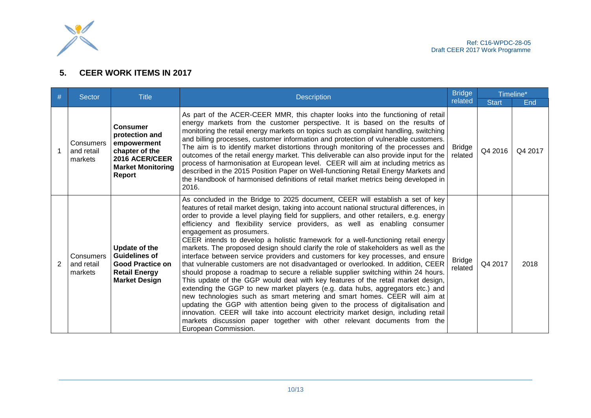

## **5. CEER WORK ITEMS IN 2017**

<span id="page-9-0"></span>

| #              | Sector                             | <b>Title</b>                                                                                                               | <b>Description</b>                                                                                                                                                                                                                                                                                                                                                                                                                                                                                                                                                                                                                                                                                                                                                                                                                                                                                                                                                                                                                                                                                                                                                                                                                                                                                                                                       | <b>Bridge</b><br>related | Timeline*    |         |
|----------------|------------------------------------|----------------------------------------------------------------------------------------------------------------------------|----------------------------------------------------------------------------------------------------------------------------------------------------------------------------------------------------------------------------------------------------------------------------------------------------------------------------------------------------------------------------------------------------------------------------------------------------------------------------------------------------------------------------------------------------------------------------------------------------------------------------------------------------------------------------------------------------------------------------------------------------------------------------------------------------------------------------------------------------------------------------------------------------------------------------------------------------------------------------------------------------------------------------------------------------------------------------------------------------------------------------------------------------------------------------------------------------------------------------------------------------------------------------------------------------------------------------------------------------------|--------------------------|--------------|---------|
|                |                                    |                                                                                                                            |                                                                                                                                                                                                                                                                                                                                                                                                                                                                                                                                                                                                                                                                                                                                                                                                                                                                                                                                                                                                                                                                                                                                                                                                                                                                                                                                                          |                          | <b>Start</b> | End     |
|                | Consumers<br>and retail<br>markets | <b>Consumer</b><br>protection and<br>empowerment<br>chapter of the<br>2016 ACER/CEER<br><b>Market Monitoring</b><br>Report | As part of the ACER-CEER MMR, this chapter looks into the functioning of retail<br>energy markets from the customer perspective. It is based on the results of<br>monitoring the retail energy markets on topics such as complaint handling, switching<br>and billing processes, customer information and protection of vulnerable customers.<br>The aim is to identify market distortions through monitoring of the processes and<br>outcomes of the retail energy market. This deliverable can also provide input for the<br>process of harmonisation at European level. CEER will aim at including metrics as<br>described in the 2015 Position Paper on Well-functioning Retail Energy Markets and<br>the Handbook of harmonised definitions of retail market metrics being developed in<br>2016.                                                                                                                                                                                                                                                                                                                                                                                                                                                                                                                                                    | <b>Bridge</b><br>related | Q4 2016      | Q4 2017 |
| $\overline{2}$ | Consumers<br>and retail<br>markets | Update of the<br><b>Guidelines of</b><br><b>Good Practice on</b><br><b>Retail Energy</b><br><b>Market Design</b>           | As concluded in the Bridge to 2025 document, CEER will establish a set of key<br>features of retail market design, taking into account national structural differences, in<br>order to provide a level playing field for suppliers, and other retailers, e.g. energy<br>efficiency and flexibility service providers, as well as enabling consumer<br>engagement as prosumers.<br>CEER intends to develop a holistic framework for a well-functioning retail energy<br>markets. The proposed design should clarify the role of stakeholders as well as the<br>interface between service providers and customers for key processes, and ensure<br>that vulnerable customers are not disadvantaged or overlooked. In addition, CEER<br>should propose a roadmap to secure a reliable supplier switching within 24 hours.<br>This update of the GGP would deal with key features of the retail market design,<br>extending the GGP to new market players (e.g. data hubs, aggregators etc.) and<br>new technologies such as smart metering and smart homes. CEER will aim at<br>updating the GGP with attention being given to the process of digitalisation and<br>innovation. CEER will take into account electricity market design, including retail<br>markets discussion paper together with other relevant documents from the<br>European Commission. | <b>Bridge</b><br>related | Q4 2017      | 2018    |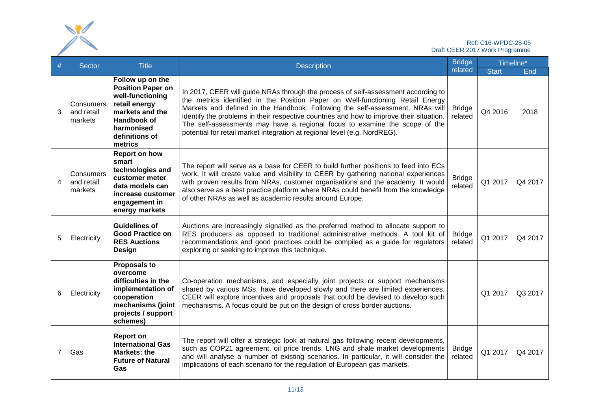| Ref: C16-WPDC-28-05<br>Draft CEER 2017 Work Programme |                                    |                                                                                                                                                                |                                                                                                                                                                                                                                                                                                                                                                                                                                                                                                            |                                     |                         |             |  |
|-------------------------------------------------------|------------------------------------|----------------------------------------------------------------------------------------------------------------------------------------------------------------|------------------------------------------------------------------------------------------------------------------------------------------------------------------------------------------------------------------------------------------------------------------------------------------------------------------------------------------------------------------------------------------------------------------------------------------------------------------------------------------------------------|-------------------------------------|-------------------------|-------------|--|
| #                                                     | <b>Sector</b>                      | <b>Title</b>                                                                                                                                                   | <b>Bridge</b><br><b>Description</b>                                                                                                                                                                                                                                                                                                                                                                                                                                                                        |                                     |                         | Timeline*   |  |
| 3                                                     | Consumers<br>and retail<br>markets | Follow up on the<br><b>Position Paper on</b><br>well-functioning<br>retail energy<br>markets and the<br>Handbook of<br>harmonised<br>definitions of<br>metrics | In 2017, CEER will guide NRAs through the process of self-assessment according to<br>the metrics identified in the Position Paper on Well-functioning Retail Energy<br>Markets and defined in the Handbook. Following the self-assessment, NRAs will<br>identify the problems in their respective countries and how to improve their situation.<br>The self-assessments may have a regional focus to examine the scope of the<br>potential for retail market integration at regional level (e.g. NordREG). | related<br><b>Bridge</b><br>related | <b>Start</b><br>Q4 2016 | End<br>2018 |  |
| 4                                                     | Consumers<br>and retail<br>markets | <b>Report on how</b><br>smart<br>technologies and<br>customer meter<br>data models can<br>increase customer<br>engagement in<br>energy markets                 | The report will serve as a base for CEER to build further positions to feed into ECs<br>work. It will create value and visibility to CEER by gathering national experiences<br>with proven results from NRAs, customer organisations and the academy. It would<br>also serve as a best practice platform where NRAs could benefit from the knowledge<br>of other NRAs as well as academic results around Europe.                                                                                           | <b>Bridge</b><br>related            | Q1 2017                 | Q4 2017     |  |
| 5                                                     | Electricity                        | <b>Guidelines of</b><br><b>Good Practice on</b><br><b>RES Auctions</b><br><b>Design</b>                                                                        | Auctions are increasingly signalled as the preferred method to allocate support to<br>RES producers as opposed to traditional administrative methods. A tool kit of<br>recommendations and good practices could be compiled as a guide for regulators<br>exploring or seeking to improve this technique.                                                                                                                                                                                                   | <b>Bridge</b><br>related            | Q1 2017                 | Q4 2017     |  |
| 6                                                     | Electricity                        | <b>Proposals to</b><br>overcome<br>difficulties in the<br>implementation of<br>cooperation<br>mechanisms (joint<br>projects / support<br>schemes)              | Co-operation mechanisms, and especially joint projects or support mechanisms<br>shared by various MSs, have developed slowly and there are limited experiences.<br>CEER will explore incentives and proposals that could be devised to develop such<br>mechanisms. A focus could be put on the design of cross border auctions.                                                                                                                                                                            |                                     | Q1 2017                 | Q3 2017     |  |
| $\overline{7}$                                        | Gas                                | <b>Report on</b><br><b>International Gas</b><br><b>Markets: the</b><br><b>Future of Natural</b><br><b>Gas</b>                                                  | The report will offer a strategic look at natural gas following recent developments,<br>such as COP21 agreement, oil price trends, LNG and shale market developments<br>and will analyse a number of existing scenarios. In particular, it will consider the<br>implications of each scenario for the regulation of European gas markets.                                                                                                                                                                  | <b>Bridge</b><br>related            | Q1 2017                 | Q4 2017     |  |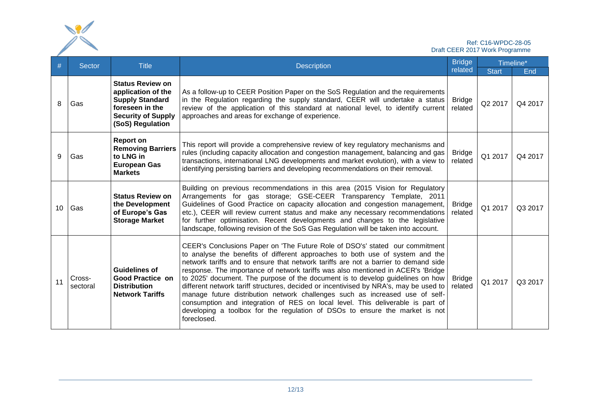|    | Ref: C16-WPDC-28-05<br>Draft CEER 2017 Work Programme |                                                                                                                                             |                                                                                                                                                                                                                                                                                                                                                                                                                                                                                                                                                                                                                                                                                                                                                                                     |                          |              |         |
|----|-------------------------------------------------------|---------------------------------------------------------------------------------------------------------------------------------------------|-------------------------------------------------------------------------------------------------------------------------------------------------------------------------------------------------------------------------------------------------------------------------------------------------------------------------------------------------------------------------------------------------------------------------------------------------------------------------------------------------------------------------------------------------------------------------------------------------------------------------------------------------------------------------------------------------------------------------------------------------------------------------------------|--------------------------|--------------|---------|
| #  | Sector                                                | <b>Title</b>                                                                                                                                | <b>Description</b>                                                                                                                                                                                                                                                                                                                                                                                                                                                                                                                                                                                                                                                                                                                                                                  | <b>Bridge</b>            | Timeline*    |         |
|    |                                                       |                                                                                                                                             |                                                                                                                                                                                                                                                                                                                                                                                                                                                                                                                                                                                                                                                                                                                                                                                     | related                  | <b>Start</b> | End     |
| 8  | Gas                                                   | <b>Status Review on</b><br>application of the<br><b>Supply Standard</b><br>foreseen in the<br><b>Security of Supply</b><br>(SoS) Regulation | As a follow-up to CEER Position Paper on the SoS Regulation and the requirements<br>in the Regulation regarding the supply standard, CEER will undertake a status<br>review of the application of this standard at national level, to identify current<br>approaches and areas for exchange of experience.                                                                                                                                                                                                                                                                                                                                                                                                                                                                          | <b>Bridge</b><br>related | Q2 2017      | Q4 2017 |
| 9  | Gas                                                   | <b>Report on</b><br><b>Removing Barriers</b><br>to LNG in<br><b>European Gas</b><br><b>Markets</b>                                          | This report will provide a comprehensive review of key regulatory mechanisms and<br>rules (including capacity allocation and congestion management, balancing and gas<br>transactions, international LNG developments and market evolution), with a view to<br>identifying persisting barriers and developing recommendations on their removal.                                                                                                                                                                                                                                                                                                                                                                                                                                     | <b>Bridge</b><br>related | Q1 2017      | Q4 2017 |
| 10 | Gas                                                   | <b>Status Review on</b><br>the Development<br>of Europe's Gas<br><b>Storage Market</b>                                                      | Building on previous recommendations in this area (2015 Vision for Regulatory<br>Arrangements for gas storage; GSE-CEER Transparency Template, 2011<br>Guidelines of Good Practice on capacity allocation and congestion management,<br>etc.), CEER will review current status and make any necessary recommendations<br>for further optimisation. Recent developments and changes to the legislative<br>landscape, following revision of the SoS Gas Regulation will be taken into account.                                                                                                                                                                                                                                                                                        | <b>Bridge</b><br>related | Q1 2017      | Q3 2017 |
| 11 | Cross-<br>sectoral                                    | <b>Guidelines of</b><br><b>Good Practice on</b><br><b>Distribution</b><br><b>Network Tariffs</b>                                            | CEER's Conclusions Paper on 'The Future Role of DSO's' stated our commitment<br>to analyse the benefits of different approaches to both use of system and the<br>network tariffs and to ensure that network tariffs are not a barrier to demand side<br>response. The importance of network tariffs was also mentioned in ACER's 'Bridge<br>to 2025' document. The purpose of the document is to develop guidelines on how<br>different network tariff structures, decided or incentivised by NRA's, may be used to<br>manage future distribution network challenges such as increased use of self-<br>consumption and integration of RES on local level. This deliverable is part of<br>developing a toolbox for the regulation of DSOs to ensure the market is not<br>foreclosed. | <b>Bridge</b><br>related | Q1 2017      | Q3 2017 |